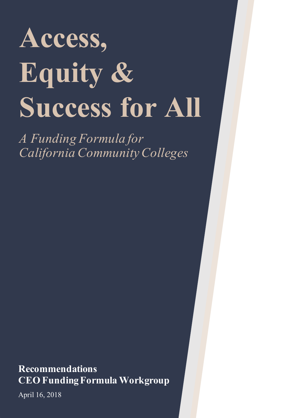# **Access, Equity & Success for All**

*A Funding Formula for California Community Colleges*

**Recommendations CEO Funding Formula Workgroup**

April 16, 2018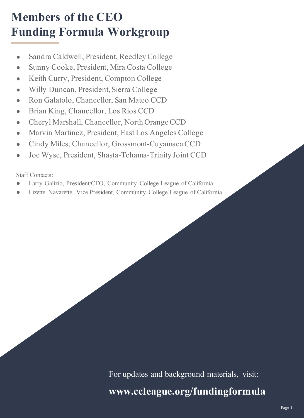## **Members of the CEO Funding Formula Workgroup**

- Sandra Caldwell, President, Reedley College
- Sunny Cooke, President, Mira Costa College
- Keith Curry, President, Compton College
- Willy Duncan, President, Sierra College
- Ron Galatolo, Chancellor, San Mateo CCD
- Brian King, Chancellor, Los Rios CCD
- Cheryl Marshall, Chancellor, North Orange CCD
- Marvin Martinez, President, East Los Angeles College
- Cindy Miles, Chancellor, Grossmont-Cuyamaca CCD
- Joe Wyse, President, Shasta-Tehama-Trinity Joint CCD

Staff Contacts:

- Larry Galizio, President/CEO, Community College League of California
- Lizette Navarette, Vice President, Community College League of California

For updates and background materials, visit:

### **www.ccleague.org/fundingformula**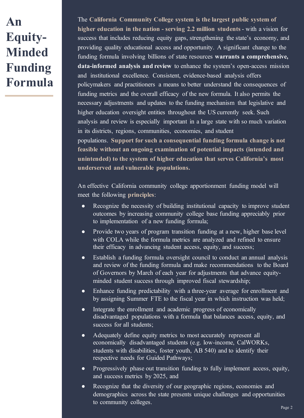## **An Equity-Minded Funding Formula**

The **California Community College system is the largest public system of higher education in the nation - serving 2.2 million students**- with a vision for success that includes reducing equity gaps, strengthening the state's economy, and providing quality educational access and opportunity. A significant change to the funding formula involving billions of state resources **warrants a comprehensive, data-informed analysis and review** to enhance the system's open-access mission and institutional excellence. Consistent, evidence-based analysis offers policymakers and practitioners a means to better understand the consequences of funding metrics and the overall efficacy of the new formula. It also permits the necessary adjustments and updates to the funding mechanism that legislative and higher education oversight entities throughout the US currently seek. Such analysis and review is especially important in a large state with so much variation in its districts, regions, communities, economies, and student populations. **Support for such a consequential funding formula change is not feasible without an ongoing examination of potential impacts (intended and unintended) to the system of higher education that serves California's most** 

An effective California community college apportionment funding model will meet the following **principles**:

**underserved and vulnerable populations.**

- Recognize the necessity of building institutional capacity to improve student outcomes by increasing community college base funding appreciably prior to implementation of a new funding formula;
- Provide two years of program transition funding at a new, higher base level with COLA while the formula metrics are analyzed and refined to ensure their efficacy in advancing student access, equity, and success;
- Establish a funding formula oversight council to conduct an annual analysis and review of the funding formula and make recommendations to the Board of Governors by March of each year for adjustments that advance equityminded student success through improved fiscal stewardship;
- Enhance funding predictability with a three-year average for enrollment and by assigning Summer FTE to the fiscal year in which instruction was held;
- Integrate the enrollment and academic progress of economically disadvantaged populations with a formula that balances access, equity, and success for all students;
- Adequately define equity metrics to most accurately represent all economically disadvantaged students (e.g. low-income, CalWORKs, students with disabilities, foster youth, AB 540) and to identify their respective needs for Guided Pathways;
- Progressively phase out transition funding to fully implement access, equity, and success metrics by 2025, and
- Recognize that the diversity of our geographic regions, economies and demographics across the state presents unique challenges and opportunities to community colleges.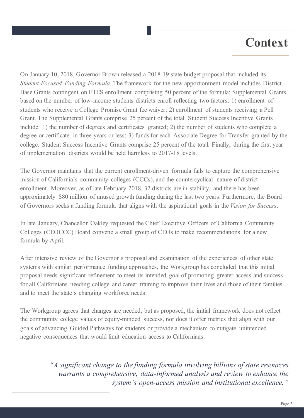## **Context**

On January 10, 2018, Governor Brown released a 2018-19 state budget proposal that included its *Student-Focused Funding Formula*. The framework for the new apportionment model includes District Base Grants contingent on FTES enrollment comprising 50 percent of the formula; Supplemental Grants based on the number of low-income students districts enroll reflecting two factors: 1) enrollment of students who receive a College Promise Grant fee waiver; 2) enrollment of students receiving a Pell Grant. The Supplemental Grants comprise 25 percent of the total. Student Success Incentive Grants include: 1) the number of degrees and certificates granted; 2) the number of students who complete a degree or certificate in three years or less; 3) funds for each Associate Degree for Transfer granted by the college. Student Success Incentive Grants comprise 25 percent of the total. Finally, during the first year of implementation districts would be held harmless to 2017-18 levels.

The Governor maintains that the current enrollment-driven formula fails to capture the comprehensive mission of California's community colleges (CCCs), and the countercyclical nature of district enrollment. Moreover, as of late February 2018, 32 districts are in stability, and there has been approximately \$80 million of unused growth funding during the last two years. Furthermore, the Board of Governors seeks a funding formula that aligns with the aspirational goals in the *Vision for Success*.

In late January, Chancellor Oakley requested the Chief Executive Officers of California Community Colleges (CEOCCC) Board convene a small group of CEOs to make recommendations for a new formula by April.

After intensive review of the Governor's proposal and examination of the experiences of other state systems with similar performance funding approaches, the Workgroup has concluded that this initial proposal needs significant refinement to meet its intended goal of promoting greater access and success for all Californians needing college and career training to improve their lives and those of their families and to meet the state's changing workforce needs.

The Workgroup agrees that changes are needed, but as proposed, the initial framework does not reflect the community college values of equity-minded success, nor does it offer metrics that align with our goals of advancing Guided Pathways for students or provide a mechanism to mitigate unintended negative consequences that would limit education access to Californians.

> *"A significant change to the funding formula involving billions of state resources warrants a comprehensive, data-informed analysis and review to enhance the system's open-access mission and institutional excellence."*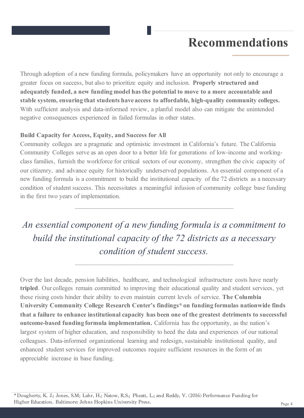Through adoption of a new funding formula, policymakers have an opportunity not only to encourage a greater focus on success, but also to prioritize equity and inclusion. **Properly structured and adequately funded, a new funding model has the potential to move to a more accountable and stable system, ensuring that students have access to affordable, high-quality community colleges.**  With sufficient analysis and data-informed review, a planful model also can mitigate the unintended negative consequences experienced in failed formulas in other states.

#### **Build Capacity for Access, Equity, and Success for All**

Community colleges are a pragmatic and optimistic investment in California's future. The California Community Colleges serve as an open door to a better life for generations of low-income and workingclass families, furnish the workforce for critical sectors of our economy, strengthen the civic capacity of our citizenry, and advance equity for historically underserved populations. An essential component of a new funding formula is a commitment to build the institutional capacity of the 72 districts as a necessary condition of student success. This necessitates a meaningful infusion of community college base funding in the first two years of implementation.

*An essential component of a new funding formula is a commitment to build the institutional capacity of the 72 districts as a necessary condition of student success.*

 $\mathcal{L}_\text{max}$  , and the set of the set of the set of the set of the set of the set of the set of the set of the set of

Over the last decade, pension liabilities, healthcare, and technological infrastructure costs have nearly **tripled**. Our colleges remain committed to improving their educational quality and student services, yet these rising costs hinder their ability to even maintain current levels of service. **The Columbia University Community College Research Center's findings\* on funding formulas nationwide finds that a failure to enhance institutional capacity has been one of the greatest detriments to successful outcome-based funding formula implementation.** California has the opportunity, as the nation's largest system of higher education, and responsibility to heed the data and experiences of our national colleagues. Data-informed organizational learning and redesign, sustainable institutional quality, and enhanced student services for improved outcomes require sufficient resources in the form of an appreciable increase in base funding.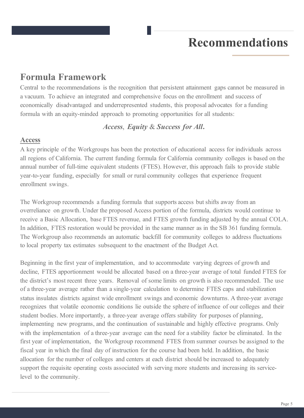#### **Formula Framework**

Central to the recommendations is the recognition that persistent attainment gaps cannot be measured in a vacuum. To achieve an integrated and comprehensive focus on the enrollment and success of economically disadvantaged and underrepresented students, this proposal advocates for a funding formula with an equity-minded approach to promoting opportunities for all students:

#### *Access*, *Equity* & *Success for All***.**

#### **Access**

A key principle of the Workgroups has been the protection of educational access for individuals across all regions of California. The current funding formula for California community colleges is based on the annual number of full-time equivalent students (FTES). However, this approach fails to provide stable year-to-year funding, especially for small or rural community colleges that experience frequent enrollment swings.

The Workgroup recommends a funding formula that supports access but shifts away from an overreliance on growth. Under the proposed Access portion of the formula, districts would continue to receive a Basic Allocation, base FTES revenue, and FTES growth funding adjusted by the annual COLA. In addition, FTES restoration would be provided in the same manner as in the SB 361 funding formula. The Workgroup also recommends an automatic backfill for community colleges to address fluctuations to local property tax estimates subsequent to the enactment of the Budget Act.

Beginning in the first year of implementation, and to accommodate varying degrees of growth and decline, FTES apportionment would be allocated based on a three-year average of total funded FTES for the district's most recent three years. Removal of some limits on growth is also recommended. The use of a three-year average rather than a single-year calculation to determine FTES caps and stabilization status insulates districts against wide enrollment swings and economic downturns. A three-year average recognizes that volatile economic conditions lie outside the sphere of influence of our colleges and their student bodies. More importantly, a three-year average offers stability for purposes of planning, implementing new programs, and the continuation of sustainable and highly effective programs. Only with the implementation of a three-year average can the need for a stability factor be eliminated. In the first year of implementation, the Workgroup recommend FTES from summer courses be assigned to the fiscal year in which the final day of instruction for the course had been held. In addition, the basic allocation for the number of colleges and centers at each district should be increased to adequately support the requisite operating costs associated with serving more students and increasing its servicelevel to the community.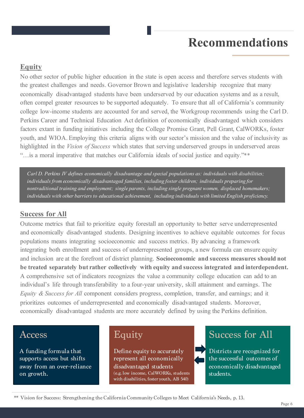#### **Equity**

No other sector of public higher education in the state is open access and therefore serves students with the greatest challenges and needs. Governor Brown and legislative leadership recognize that many economically disadvantaged students have been underserved by our education systems and as a result, often compel greater resources to be supported adequately. To ensure that all of California's community college low-income students are accounted for and served, the Workgroup recommends using the Carl D. Perkins Career and Technical Education Act definition of economically disadvantaged which considers factors extant in funding initiatives including the College Promise Grant, Pell Grant, CalWORKs, foster youth, and WIOA. Employing this criteria aligns with our sector's mission and the value of inclusivity as highlighted in the *Vision of Success* which states that serving underserved groups in underserved areas "…is a moral imperative that matches our California ideals of social justice and equity."\*\*

*Carl D. Perkins IV defines economically disadvantage and special populations as: individuals with disabilities; individuals from economically disadvantaged families, including foster children; individuals preparing for nontraditional training and employment; single parents, including single pregnant women, displaced homemakers; individuals with other barriers to educational achievement, including individuals with limited English proficiency.* 

#### **Success for All**

Outcome metrics that fail to prioritize equity forestall an opportunity to better serve underrepresented and economically disadvantaged students. Designing incentives to achieve equitable outcomes for focus populations means integrating socioeconomic and success metrics. By advancing a framework integrating both enrollment and success of underrepresented groups, a new formula can ensure equity and inclusion are at the forefront of district planning. **Socioeconomic and success measures should not be treated separately but rather collectively with equity and success integrated and interdependent.**  A comprehensive set of indicators recognizes the value a community college education can add to an individual's life through transferability to a four-year university, skill attainment and earnings. The *Equity & Success for All* component considers progress, completion, transfer, and earnings; and it prioritizes outcomes of underrepresented and economically disadvantaged students. Moreover, economically disadvantaged students are more accurately defined by using the Perkins definition.

#### Access

A funding formula that supports access but shifts away from an over-reliance on growth.

#### Equity

Define equity to accurately represent all economically disadvantaged students (e.g. low income, CalWORKs, students with disabilities, foster youth, AB 540)

#### Success for All

Districts are recognized for the successful outcomes of economically disadvantaged students.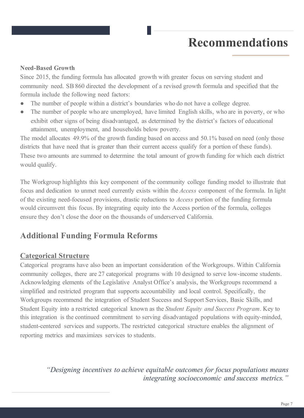#### **Need-Based Growth**

Since 2015, the funding formula has allocated growth with greater focus on serving student and community need. SB 860 directed the development of a revised growth formula and specified that the formula include the following need factors:

- The number of people within a district's boundaries who do not have a college degree.
- The number of people who are unemployed, have limited English skills, who are in poverty, or who exhibit other signs of being disadvantaged, as determined by the district's factors of educational attainment, unemployment, and households below poverty.

The model allocates 49.9% of the growth funding based on access and 50.1% based on need (only those districts that have need that is greater than their current access qualify for a portion of these funds). These two amounts are summed to determine the total amount of growth funding for which each district would qualify.

The Workgroup highlights this key component of the community college funding model to illustrate that focus and dedication to unmet need currently exists within the *Access* component of the formula. In light of the existing need-focused provisions, drastic reductions to *Access* portion of the funding formula would circumvent this focus. By integrating equity into the Access portion of the formula, colleges ensure they don't close the door on the thousands of underserved California.

#### **Additional Funding Formula Reforms**

#### **Categorical Structure**

Categorical programs have also been an important consideration of the Workgroups. Within California community colleges, there are 27 categorical programs with 10 designed to serve low-income students. Acknowledging elements of the Legislative Analyst Office's analysis, the Workgroups recommend a simplified and restricted program that supports accountability and local control. Specifically, the Workgroups recommend the integration of Student Success and Support Services, Basic Skills, and Student Equity into a restricted categorical known as the *Student Equity and Success Program*. Key to this integration is the continued commitment to serving disadvantaged populations with equity-minded, student-centered services and supports. The restricted categorical structure enables the alignment of reporting metrics and maximizes services to students.

> *"Designing incentives to achieve equitable outcomes for focus populations means integrating socioeconomic and success metrics."*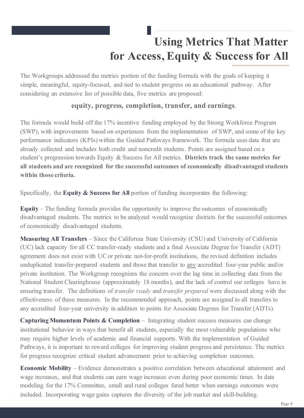## **Using Metrics That Matter for Access, Equity & Success for All**

The Workgroups addressed the metrics portion of the funding formula with the goals of keeping it simple, meaningful, equity-focused, and tied to student progress on an educational pathway. After considering an extensive list of possible data, five metrics are proposed:

#### **equity, progress, completion, transfer, and earnings**.

The formula would build off the 17% incentive funding employed by the Strong Workforce Program (SWP), with improvements based on experiences from the implementation of SWP, and some of the key performance indicators (KPIs) within the Guided Pathways framework. The formula uses data that are already collected and includes both credit and noncredit students. Points are assigned based on a student's progression towards Equity & Success for All metrics. **Districts track the same metrics for all students and are recognized for the successful outcomes of economically disadvantaged students within those criteria.** 

Specifically, the **Equity & Success for All** portion of funding incorporates the following:

**Equity** – The funding formula provides the opportunity to improve the outcomes of economically disadvantaged students. The metrics to be analyzed would recognize districts for the successful outcomes of economically disadvantaged students.

**Measuring All Transfers** – Since the California State University (CSU) and University of California (UC) lack capacity for all CC transfer-ready students and a final Associate Degree for Transfer (ADT) agreement does not exist with UC or private not-for-profit institutions, the revised definition includes unduplicated transfer-prepared students and those that transfer to any accredited four-year public and/or private institution. The Workgroup recognizes the concern over the lag time in collecting data from the National Student Clearinghouse (approximately 18 months), and the lack of control our colleges have in ensuring transfer. The definitions of *transfer ready* and *transfer prepared* were discussed along with the effectiveness of these measures. In the recommended approach, points are assigned to all transfers to any accredited four-year university in addition to points for Associate Degrees for Transfer (ADTs).

**Capturing Momentum Points & Completion** – Integrating student success measures can change institutional behavior in ways that benefit all students, especially the most vulnerable populations who may require higher levels of academic and financial supports. With the implementation of Guided Pathways, it is important to reward colleges for improving student progress and persistence. The metrics for progress recognize critical student advancement prior to achieving completion outcomes.

**Economic Mobility** – Evidence demonstrates a positive correlation between educational attainment and wage increases, and that students can earn wage increases even during poor economic times. In data modeling for the 17% Committee, small and rural colleges fared better when earnings outcomes were included. Incorporating wage gains captures the diversity of the job market and skill-building.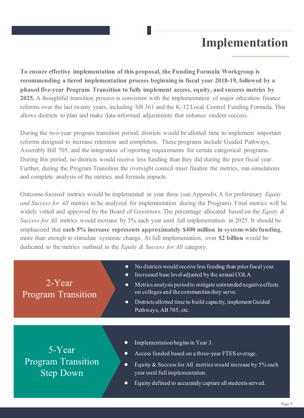## **Implementation**

**To ensure effective implementation of this proposal, the Funding Formula Workgroup is recommending a tiered implementation process beginning in fiscal year 2018-19, followed by a phased five-year Program Transition to fully implement access, equity, and success metrics by 2025.** A thoughtful transition process is consistent with the implementation of major education finance reforms over the last twenty years, including SB 361 and the K-12 Local Control Funding Formula. This allows districts to plan and make data-informed adjustments that enhance student success.

During the two-year program transition period, districts would be allotted time to implement important reforms designed to increase retention and completion. These programs include Guided Pathways, Assembly Bill 705, and the integration of reporting requirements for certain categorical programs. During this period, no districts would receive less funding than they did during the prior fiscal year. Further, during the Program Transition the oversight council must finalize the metrics, run simulations and complete analysis of the metrics and formula impacts.

Outcome-focused metrics would be implemented in year three (see Appendix A for preliminary *Equity and Success for All* metrics to be analyzed for implementation during the Program). Final metrics will be widely vetted and approved by the Board of Governors. The percentage allocated based on the *Equity & Success for All* metrics would increase by 5% each year until full implementation in 2025. It should be emphasized that **each 5% increase represents approximately \$400 million in system-wide funding**, more than enough to stimulate systemic change. At full implementation, over **\$2 billion** would be dedicated to the metrics outlined in the *Equity & Success for All* category.

| $2$ -Year <sup>'</sup><br><b>Program Transition</b>     | $\bullet$<br>$\bullet$<br>$\bullet$<br>$\bullet$ | No districts would receive less funding than prior fiscal year.<br>Increased base level adjusted by the annual COLA<br>Metrics analysis period to mitigate unintended negative effects<br>on colleges and the communities they serve.<br>Districts allotted time to build capacity, implement Guided<br>Pathways, AB 705, etc. |
|---------------------------------------------------------|--------------------------------------------------|--------------------------------------------------------------------------------------------------------------------------------------------------------------------------------------------------------------------------------------------------------------------------------------------------------------------------------|
| 5-Year<br><b>Program Transition</b><br><b>Step Down</b> | $\bullet$<br>$\bullet$<br>$\bullet$<br>$\bullet$ | Implementation begins in Year 3.<br>Access funded based on a three-year FTES average.<br>Equity & Success for All metrics would increase by 5% each<br>year until full implementation.<br>Equity defined to accurately capture all students served.                                                                            |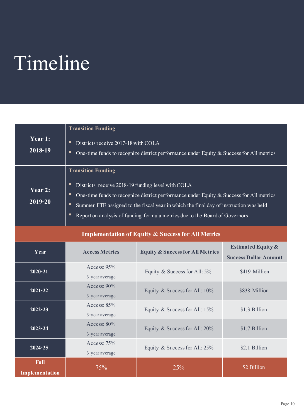## Timeline

| Year 1:<br>2018-19                                                                                                                                                                                                                                                                                                                                                                                                                 | <b>Transition Funding</b><br>Districts receive 2017-18 with COLA<br>$\bullet$<br>$\bullet$<br>One-time funds to recognize district performance under Equity $&$ Success for All metrics |                                             |                                                               |  |  |
|------------------------------------------------------------------------------------------------------------------------------------------------------------------------------------------------------------------------------------------------------------------------------------------------------------------------------------------------------------------------------------------------------------------------------------|-----------------------------------------------------------------------------------------------------------------------------------------------------------------------------------------|---------------------------------------------|---------------------------------------------------------------|--|--|
| <b>Transition Funding</b><br>$\bullet$<br>Districts receive 2018-19 funding level with COLA<br>Year 2:<br>$\bullet$<br>One-time funds to recognize district performance under Equity $\&$ Success for All metrics<br>$2019 - 20$<br>$\bullet$<br>Summer FTE assigned to the fiscal year in which the final day of instruction was held<br>$\bullet$<br>Report on analysis of funding formula metrics due to the Board of Governors |                                                                                                                                                                                         |                                             |                                                               |  |  |
| <b>Implementation of Equity &amp; Success for All Metrics</b>                                                                                                                                                                                                                                                                                                                                                                      |                                                                                                                                                                                         |                                             |                                                               |  |  |
| Year                                                                                                                                                                                                                                                                                                                                                                                                                               | <b>Access Metrics</b>                                                                                                                                                                   | <b>Equity &amp; Success for All Metrics</b> | <b>Estimated Equity &amp;</b><br><b>Success Dollar Amount</b> |  |  |
| $2020 - 21$                                                                                                                                                                                                                                                                                                                                                                                                                        | Access: 95%<br>3-year average                                                                                                                                                           | Equity & Success for All: $5\%$             | \$419 Million                                                 |  |  |
| $2021 - 22$                                                                                                                                                                                                                                                                                                                                                                                                                        | Access: $90\%$<br>3-year average                                                                                                                                                        | Equity & Success for All: 10%               | \$838 Million                                                 |  |  |
| $2022 - 23$                                                                                                                                                                                                                                                                                                                                                                                                                        | Access: 85%<br>3-year average                                                                                                                                                           | Equity & Success for All: 15%               | \$1.3 Billion                                                 |  |  |
| 2023-24                                                                                                                                                                                                                                                                                                                                                                                                                            | Access: 80%<br>3-year average                                                                                                                                                           | Equity & Success for All: 20%               | \$1.7 Billion                                                 |  |  |
| 2024-25                                                                                                                                                                                                                                                                                                                                                                                                                            | Access: 75%<br>3-year average                                                                                                                                                           | Equity & Success for All: 25%               | \$2.1 Billion                                                 |  |  |
| <b>Full</b><br><b>Implementation</b>                                                                                                                                                                                                                                                                                                                                                                                               | 75%                                                                                                                                                                                     | 25%                                         | \$2 Billion                                                   |  |  |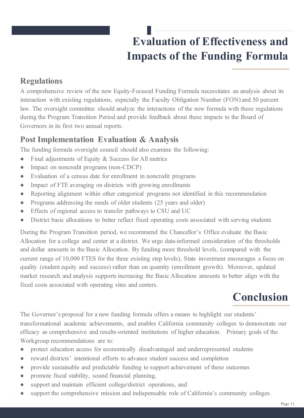## **Evaluation of Effectiveness and Impacts of the Funding Formula**

#### **Regulations**

A comprehensive review of the new Equity-Focused Funding Formula necessitates an analysis about its interaction with existing regulations, especially the Faculty Obligation Number (FON) and 50 percent law. The oversight committee should analyze the interactions of the new formula with these regulations during the Program Transition Period and provide feedback about these impacts to the Board of Governors in its first two annual reports.

#### **Post Implementation Evaluation & Analysis**

The funding formula oversight council should also examine the following:

- Final adjustments of Equity & Success for All metrics
- Impact on noncredit programs (non-CDCP)
- Evaluation of a census date for enrollment in noncredit programs
- Impact of FTE averaging on districts with growing enrollments
- Reporting alignment within other categorical programs not identified in this recommendation
- Programs addressing the needs of older students (25 years and older)
- Effects of regional access to transfer pathways to CSU and UC
- District basic allocations to better reflect fixed operating costs associated with serving students

During the Program Transition period, we recommend the Chancellor's Office evaluate the Basic Allocation for a college and center at a district. We urge data-informed consideration of the thresholds and dollar amounts in the Basic Allocation. By funding more threshold levels, (compared with the current range of 10,000 FTES for the three existing step levels), State investment encourages a focus on quality (student equity and success) rather than on quantity (enrollment growth). Moreover, updated market research and analysis supports increasing the Basic Allocation amounts to better align with the fixed costs associated with operating sites and centers.

## **Conclusion**

The Governor's proposal for a new funding formula offers a means to highlight our students' transformational academic achievements, and enables California community colleges to demonstrate our efficacy as comprehensive and results-oriented institutions of higher education. Primary goals of the Workgroup recommendations are to:

- protect education access for economically disadvantaged and underrepresented students
- reward districts' intentional efforts to advance student success and completion
- provide sustainable and predictable funding to support achievement of these outcomes
- promote fiscal stability, sound financial planning,
- support and maintain efficient college/district operations, and
- support the comprehensive mission and indispensable role of California's community colleges.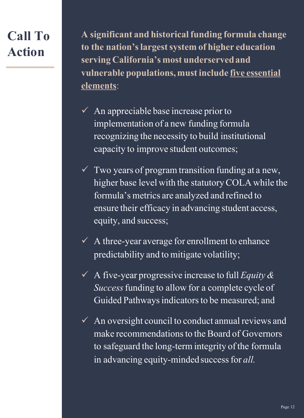## **Call To Action**

**A significant and historical funding formula change to the nation's largest system of higher education serving California's most underserved and vulnerable populations, must include five essential elements**:

- $\sqrt{\phantom{a}}$  An appreciable base increase prior to implementation of a new funding formula recognizing the necessity to build institutional capacity to improve student outcomes;
- $\checkmark$  Two years of program transition funding at a new, higher base level with the statutory COLA while the formula's metrics are analyzed and refined to ensure their efficacy in advancing student access, equity, and success;
- $\checkmark$  A three-year average for enrollment to enhance predictability and to mitigate volatility;
- $\sqrt{ }$  A five-year progressive increase to full *Equity & Success*funding to allow for a complete cycle of Guided Pathways indicators to be measured; and
- $\checkmark$  An oversight council to conduct annual reviews and make recommendations to the Board of Governors to safeguard the long-term integrity of the formula in advancing equity-minded success for *all.*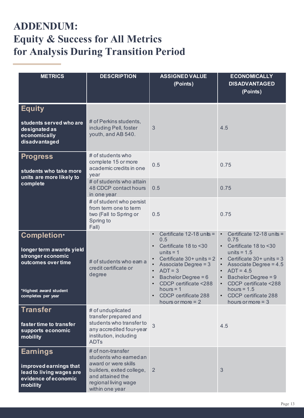### **ADDENDUM: Equity & Success for All Metrics for Analysis During Transition Period**

| <b>METRICS</b>                                                                                                                            | <b>DESCRIPTION</b>                                                                                                                                              | <b>ASSIGNED VALUE</b><br>(Points)                                                                                                                                                                                                                                                      | <b>ECONOMICALLY</b><br><b>DISADVANTAGED</b><br>(Points)                                                                                                                                                                                                                                                    |
|-------------------------------------------------------------------------------------------------------------------------------------------|-----------------------------------------------------------------------------------------------------------------------------------------------------------------|----------------------------------------------------------------------------------------------------------------------------------------------------------------------------------------------------------------------------------------------------------------------------------------|------------------------------------------------------------------------------------------------------------------------------------------------------------------------------------------------------------------------------------------------------------------------------------------------------------|
| <b>Equity</b><br>students served who are<br>designated as<br>economically<br>disadvantaged                                                | # of Perkins students,<br>including Pell, foster<br>youth, and AB 540.                                                                                          | 3                                                                                                                                                                                                                                                                                      | 4.5                                                                                                                                                                                                                                                                                                        |
| <b>Progress</b><br>students who take more<br>units are more likely to<br>complete                                                         | # of students who<br>complete 15 or more<br>academic credits in one<br>year                                                                                     | 0.5                                                                                                                                                                                                                                                                                    | 0.75                                                                                                                                                                                                                                                                                                       |
|                                                                                                                                           | # of students who attain<br>48 CDCP contact hours<br>in one year                                                                                                | 0.5                                                                                                                                                                                                                                                                                    | 0.75                                                                                                                                                                                                                                                                                                       |
|                                                                                                                                           | # of student who persist<br>from term one to term<br>two (Fall to Spring or<br>Spring to<br>Fall)                                                               | 0.5                                                                                                                                                                                                                                                                                    | 0.75                                                                                                                                                                                                                                                                                                       |
| <b>Completion*</b><br>longer term awards yield<br>stronger economic<br>outcomes over time<br>*Highest award student<br>completes per year | # of students who eam a<br>credit certificate or<br>degree                                                                                                      | Certificate $12-18$ units =<br>$\bullet$<br>0.5<br>Certificate 18 to <30<br>$\bullet$<br>units $= 1$<br>Certificate $30+$ units = 2<br>Associate Degree = 3<br>$ADT = 3$<br>Bachelor Degree = 6<br>CDCP certificate <288<br>hours $= 1$<br>CDCP certificate 288<br>hours or more $= 2$ | Certificate 12-18 units =<br>0.75<br>Certificate 18 to <30<br>$\bullet$<br>units = $1.5$<br>Certificate $30+$ units = 3<br>$\bullet$<br>Associate Degree = 4.5<br>$\bullet$<br>$ADT = 4.5$<br>Bachelor Degree = 9<br>CDCP certificate <288<br>hours = $1.5$<br>CDCP certificate 288<br>hours or more $=$ 3 |
| Transfer<br>faster time to transfer<br>supports economic<br>mobility                                                                      | # of unduplicated<br>transfer prepared and<br>students who transfer to<br>any accredited four-year<br>institution, including<br><b>ADTs</b>                     | 3                                                                                                                                                                                                                                                                                      | 4.5                                                                                                                                                                                                                                                                                                        |
| <b>Earnings</b><br>improved earnings that<br>lead to living wages are<br>evidence of economic<br>mobility                                 | # of non-transfer<br>students who earned an<br>award or were skills<br>builders, exited college,<br>and attained the<br>regional living wage<br>within one year | $\overline{2}$                                                                                                                                                                                                                                                                         | 3                                                                                                                                                                                                                                                                                                          |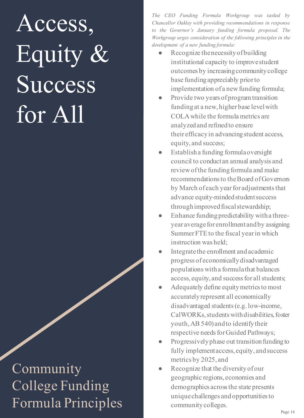## Access, Equity & Success for All

Community College Funding Formula Principles community colleges.

*The CEO Funding Formula Workgroup was tasked by Chancellor Oakley with providing recommendations in response to the Governor's January funding formula proposal. The Workgroup urges consideration of the following principles in the development of a new funding formula:*

- Recognize the necessity of building institutional capacity to improve student outcomes by increasing community college base funding appreciably prior to implementation of a new funding formula;
- Provide two years of program transition funding at a new, higher base level with COLA while the formula metrics are analyzed and refined to ensure their efficacyin advancing student access, equity, and success;
- Establish a funding formula oversight council to conduct an annual analysis and review of the funding formula and make recommendations to the Board of Governors by March of each year for adjustments that advance equity-minded student success through improved fiscal stewardship;
- Enhance funding predictability with a threeyear average for enrollment and by assigning Summer FTE to the fiscal year in which instruction was held;
- Integrate the enrollment and academic progress of economically disadvantaged populations witha formula that balances access, equity, and success for all students;
- Adequately define equity metrics to most accurately represent all economically disadvantaged students (e.g. low-income, CalWORKs, students with disabilities, foster youth, AB 540) and to identify their respective needs for Guided Pathways;
- Progressively phase out transition funding to fully implement access, equity, and success metrics by 2025, and
- Recognize that the diversity of our geographic regions, economies and demographics across the state presents unique challenges and opportunities to community colleges.